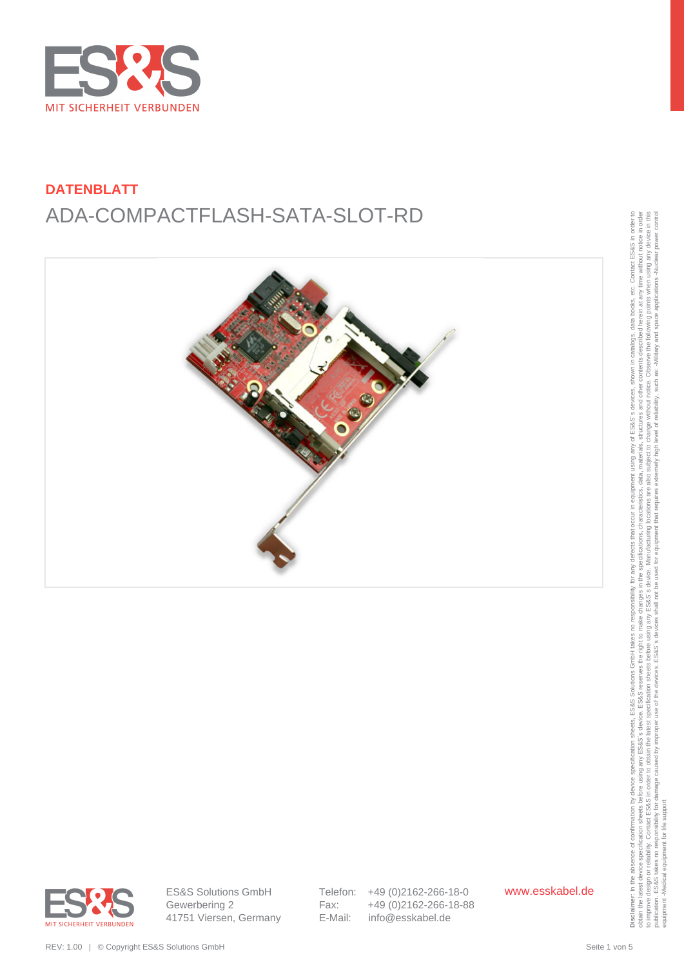



obtain the latest device specification sheets before using any ES&S's reserves the right to make changes in the specifications, characteristics, data, materials, structures and other contents described herein at any time w to improve design or reliability. Contact ESS&S in order to obtain the latest specification sheets before using any arge before using any arges before using any arges before the Sales is device. Manufacturing locations, th publication. ES&S takes no responsibility for damage caused by improper use of the devices. ES&S's devices shall not be used for equipment that requires extremely high level of reliability, such as: Alliliary and space app to improve design or reliability. Contact ES& S in o creaming any tracks are created to improve design or reliability. Contact ES& S in o carried the design or reliability. Contact ES& S in order and the design publication equipment -Medical equipment for life support



ES&S Solutions GmbH Gewerbering 2 41751 Viersen, Germany Telefon: +49 (0)2162-266-18-0 Fax: +49 (0)2162-266-18-88 E-Mail: info@esskabel.de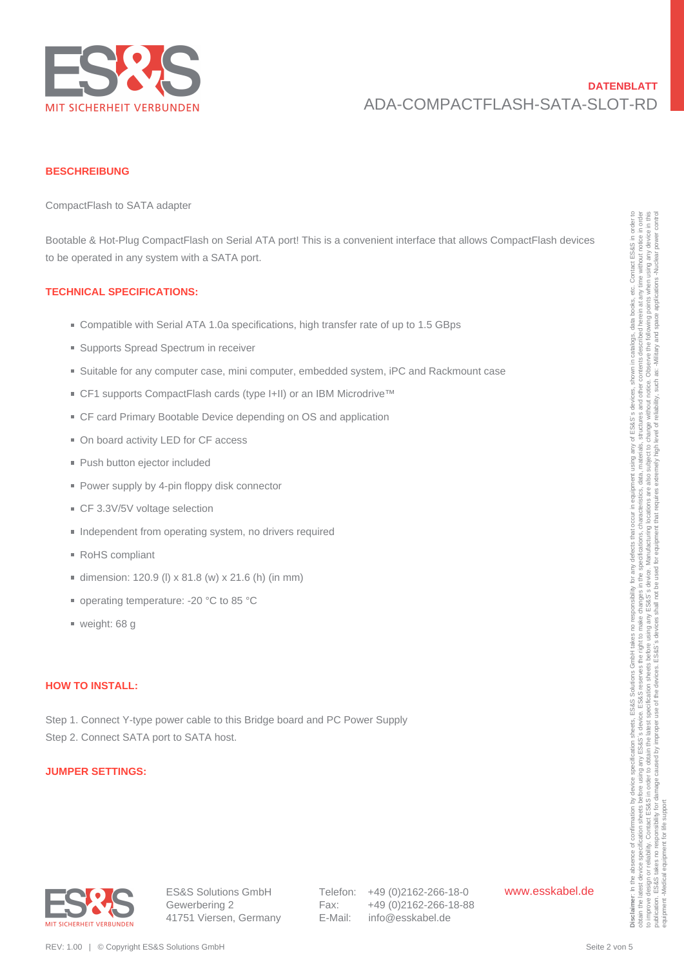

#### **BESCHREIBUNG**

CompactFlash to SATA adapter

Bootable & Hot-Plug CompactFlash on Serial ATA port! This is a convenient interface that allows CompactFlash devices to be operated in any system with a SATA port. Doctable & Hac-Poug Compact<br>That is the Poug Compact Tharb with a SATA poet.<br>
TECHNICAL SPECIFICATIONS:<br>
TECHNICAL SPECIFICATIONS:<br>
• Compacts Specification in Section 10.1 4.4 4.4 considered points are the results of up

#### **TECHNICAL SPECIFICATIONS:**

- Compatible with Serial ATA 1.0a specifications, high transfer rate of up to 1.5 GBps
- Supports Spread Spectrum in receiver
- Suitable for any computer case, mini computer, embedded system, iPC and Rackmount case
- CF1 supports CompactFlash cards (type I+II) or an IBM Microdrive™
- CF card Primary Bootable Device depending on OS and application
- On board activity LED for CF access
- **Push button ejector included**
- Power supply by 4-pin floppy disk connector
- CF 3.3V/5V voltage selection
- **Independent from operating system, no drivers required**
- RoHS compliant
- dimension: 120.9 (I)  $x$  81.8 (w)  $x$  21.6 (h) (in mm)
- operating temperature: -20 °C to 85 °C
- weight: 68 g

### **HOW TO INSTALL:**

Step 1. Connect Y-type power cable to this Bridge board and PC Power Supply Step 2. Connect SATA port to SATA host.

#### **JUMPER SETTINGS:**



Telefon: +49 (0)2162-266-18-0 Fax: +49 (0)2162-266-18-88 E-Mail: info@esskabel.de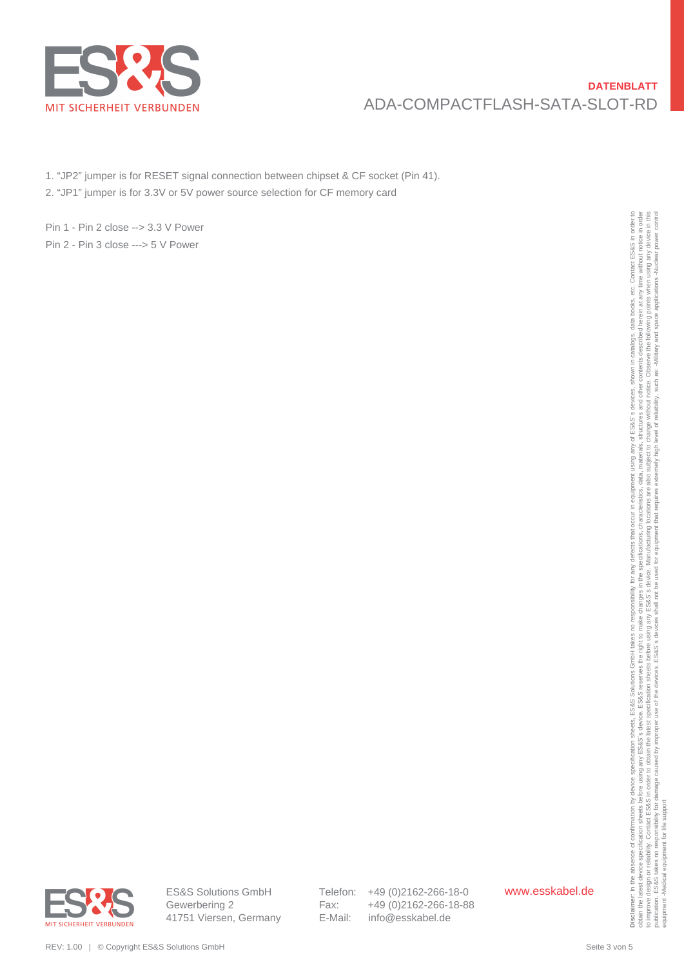

1. "JP2" jumper is for RESET signal connection between chipset & CF socket (Pin 41).

2. "JP1" jumper is for 3.3V or 5V power source selection for CF memory card

Pin 1 - Pin 2 close --> 3.3 V Power Pin 2 - Pin 3 close ---> 5 V Power

REV: 1.00 | © Copyright ES&S Solutions GmbH Seite 3 von 5 **Disclaimer**: In the absence of confirmation by device specification sheets, ES&S Solutions GmbH takes no responsibility for any defects that occur in equipment using any of ES&S´s devices, shown in catalogs, data books, etc. Contact ES&S in order to obtain the latest device specification sheets before using any ES&S's reserves the right to make changes in the specifications, characteristics, data, materials, structures and other contents described herein at any time w to improve design or reliability. Contact ESS&S in order to obtain the latest specification sheets before using any arge before using any arges before using any arges before the Sales is device. Manufacturing locations, th publication. ES&S takes no responsibility for damage caused by improper use of the devices. ES&S's devices shall not be used for equipment that requires extremely high level of reliability, such as: Alliliary and space app equipment -Medical equipment for life support



ES&S Solutions GmbH Gewerbering 2 41751 Viersen, Germany Telefon: +49 (0)2162-266-18-0 Fax: +49 (0)2162-266-18-88 E-Mail: info@esskabel.de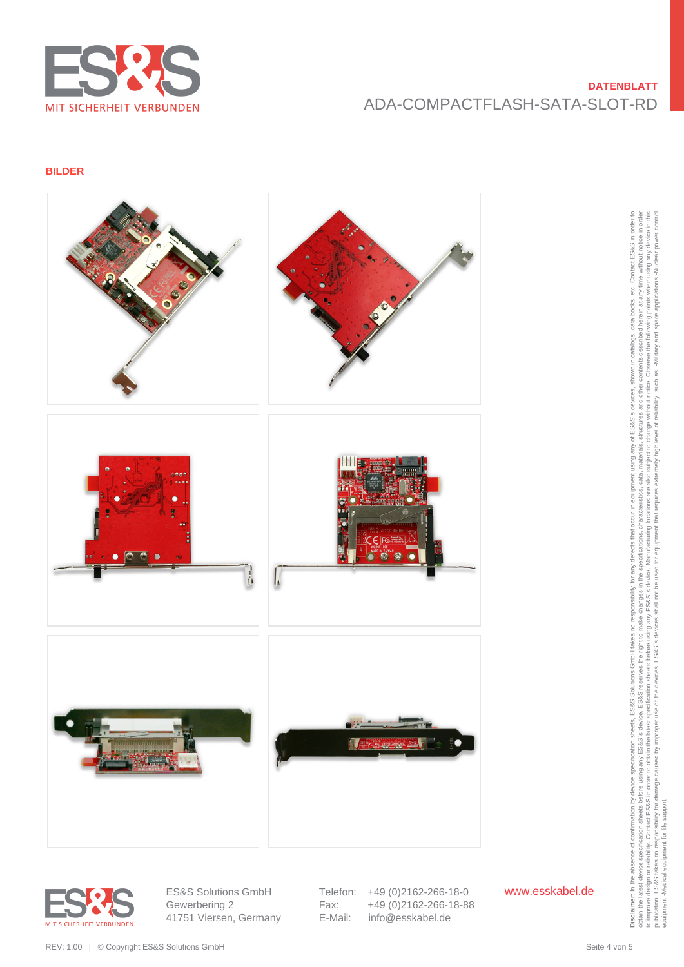

### **BILDER**



![](_page_3_Picture_4.jpeg)

ES&S Solutions GmbH Gewerbering 2 41751 Viersen, Germany Telefon: +49 (0)2162-266-18-0 Fax: +49 (0)2162-266-18-88<br>E-Mail: info@esskabel.de info@esskabel.de

www.esskabel.de

obtain the latest device specification sheets before using any ES&S's reserves the right to make changes in the specifications, characteristics, data, materials, structures and other contents described herein at any time w to improve design or reliability. Contact ESS&S in order to obtain the latest specification sheets before using any arge before using any arges before using any arges before the Sales is device. Manufacturing locations, th publication. ES&S takes no responsibility for damage caused by improper use of the devices. ES&S's devices shall not be used for equipment that requires extremely high level of reliability, such as: Alliliary and space app equipment -Medical equipment for life support